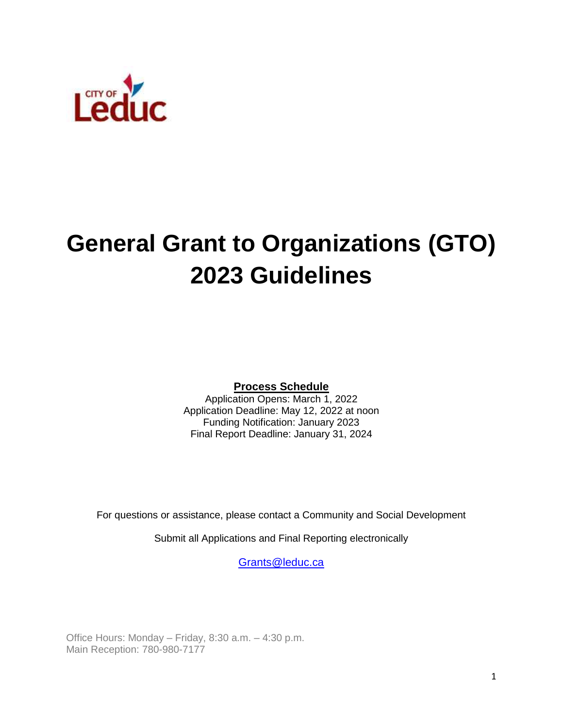

# **General Grant to Organizations (GTO) 2023 Guidelines**

**Process Schedule**

Application Opens: March 1, 2022 Application Deadline: May 12, 2022 at noon Funding Notification: January 2023 Final Report Deadline: January 31, 2024

For questions or assistance, please contact a Community and Social Development

Submit all Applications and Final Reporting electronically

[Grants@leduc.ca](about:blank)

Office Hours: Monday – Friday, 8:30 a.m. – 4:30 p.m. Main Reception: 780-980-7177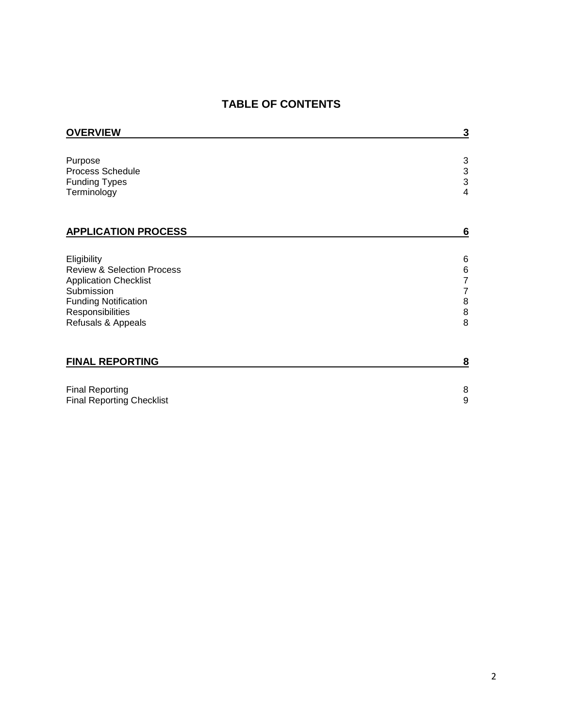# **TABLE OF CONTENTS**

| <b>OVERVIEW</b>                                                                                                                                                             | 3                                                                                                            |
|-----------------------------------------------------------------------------------------------------------------------------------------------------------------------------|--------------------------------------------------------------------------------------------------------------|
| Purpose<br><b>Process Schedule</b><br><b>Funding Types</b><br>Terminology                                                                                                   | $\ensuremath{\mathsf{3}}$<br>$\frac{3}{3}$<br>$\overline{4}$                                                 |
| <b>APPLICATION PROCESS</b>                                                                                                                                                  | $6\phantom{1}6$                                                                                              |
| Eligibility<br><b>Review &amp; Selection Process</b><br><b>Application Checklist</b><br>Submission<br><b>Funding Notification</b><br>Responsibilities<br>Refusals & Appeals | 6<br>$\,6$<br>$\overline{\mathbf{7}}$<br>$\boldsymbol{7}$<br>$\bf8$<br>$\begin{array}{c} 8 \\ 8 \end{array}$ |
| <b>FINAL REPORTING</b>                                                                                                                                                      | 8                                                                                                            |
| <b>Final Reporting</b><br><b>Final Reporting Checklist</b>                                                                                                                  | $\,8\,$<br>9                                                                                                 |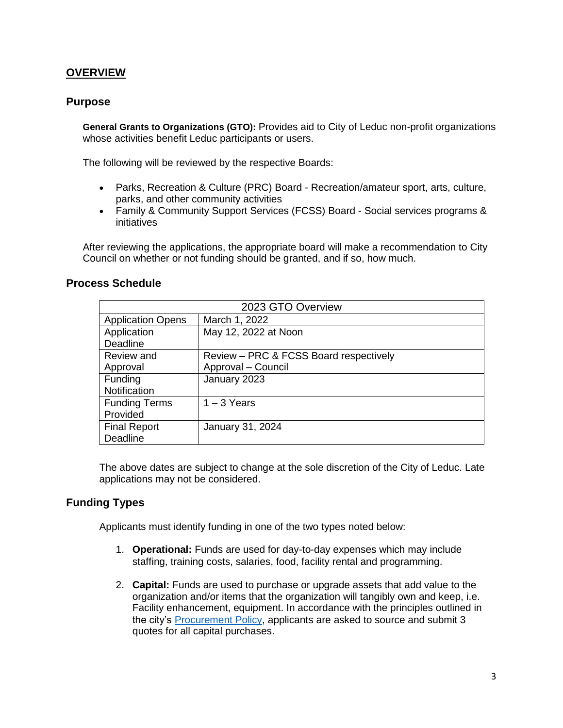# **OVERVIEW**

#### **Purpose**

**General Grants to Organizations (GTO):** Provides aid to City of Leduc non-profit organizations whose activities benefit Leduc participants or users.

The following will be reviewed by the respective Boards:

- Parks, Recreation & Culture (PRC) Board Recreation/amateur sport, arts, culture, parks, and other community activities
- Family & Community Support Services (FCSS) Board Social services programs & initiatives

After reviewing the applications, the appropriate board will make a recommendation to City Council on whether or not funding should be granted, and if so, how much.

#### **Process Schedule**

| 2023 GTO Overview        |                                        |  |
|--------------------------|----------------------------------------|--|
| <b>Application Opens</b> | March 1, 2022                          |  |
| Application              | May 12, 2022 at Noon                   |  |
| Deadline                 |                                        |  |
| Review and               | Review – PRC & FCSS Board respectively |  |
| Approval                 | Approval - Council                     |  |
| Funding                  | January 2023                           |  |
| Notification             |                                        |  |
| <b>Funding Terms</b>     | $1 - 3$ Years                          |  |
| Provided                 |                                        |  |
| <b>Final Report</b>      | January 31, 2024                       |  |
| Deadline                 |                                        |  |

The above dates are subject to change at the sole discretion of the City of Leduc. Late applications may not be considered.

# **Funding Types**

Applicants must identify funding in one of the two types noted below:

- 1. **Operational:** Funds are used for day-to-day expenses which may include staffing, training costs, salaries, food, facility rental and programming.
- 2. **Capital:** Funds are used to purchase or upgrade assets that add value to the organization and/or items that the organization will tangibly own and keep, i.e. Facility enhancement, equipment. In accordance with the principles outlined in the city's [Procurement Policy,](https://www.leduc.ca/procurement-policy) applicants are asked to source and submit 3 quotes for all capital purchases.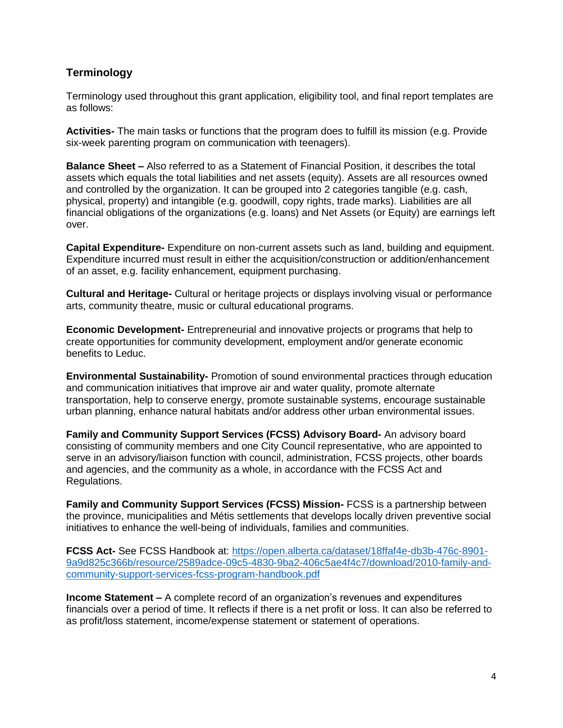# **Terminology**

Terminology used throughout this grant application, eligibility tool, and final report templates are as follows:

**Activities-** The main tasks or functions that the program does to fulfill its mission (e.g. Provide six-week parenting program on communication with teenagers).

**Balance Sheet –** Also referred to as a Statement of Financial Position, it describes the total assets which equals the total liabilities and net assets (equity). Assets are all resources owned and controlled by the organization. It can be grouped into 2 categories tangible (e.g. cash, physical, property) and intangible (e.g. goodwill, copy rights, trade marks). Liabilities are all financial obligations of the organizations (e.g. loans) and Net Assets (or Equity) are earnings left over.

**Capital Expenditure-** Expenditure on non-current assets such as land, building and equipment. Expenditure incurred must result in either the acquisition/construction or addition/enhancement of an asset, e.g. facility enhancement, equipment purchasing.

**Cultural and Heritage-** Cultural or heritage projects or displays involving visual or performance arts, community theatre, music or cultural educational programs.

**Economic Development-** Entrepreneurial and innovative projects or programs that help to create opportunities for community development, employment and/or generate economic benefits to Leduc.

**Environmental Sustainability-** Promotion of sound environmental practices through education and communication initiatives that improve air and water quality, promote alternate transportation, help to conserve energy, promote sustainable systems, encourage sustainable urban planning, enhance natural habitats and/or address other urban environmental issues.

**Family and Community Support Services (FCSS) Advisory Board-** An advisory board consisting of community members and one City Council representative, who are appointed to serve in an advisory/liaison function with council, administration, FCSS projects, other boards and agencies, and the community as a whole, in accordance with the FCSS Act and Regulations.

**Family and Community Support Services (FCSS) Mission-** FCSS is a partnership between the province, municipalities and Métis settlements that develops locally driven preventive social initiatives to enhance the well-being of individuals, families and communities.

**FCSS Act-** See FCSS Handbook at: [https://open.alberta.ca/dataset/18ffaf4e-db3b-476c-8901-](about:blank) [9a9d825c366b/resource/2589adce-09c5-4830-9ba2-406c5ae4f4c7/download/2010-family-and](about:blank)[community-support-services-fcss-program-handbook.pdf](about:blank)

**Income Statement –** A complete record of an organization's revenues and expenditures financials over a period of time. It reflects if there is a net profit or loss. It can also be referred to as profit/loss statement, income/expense statement or statement of operations.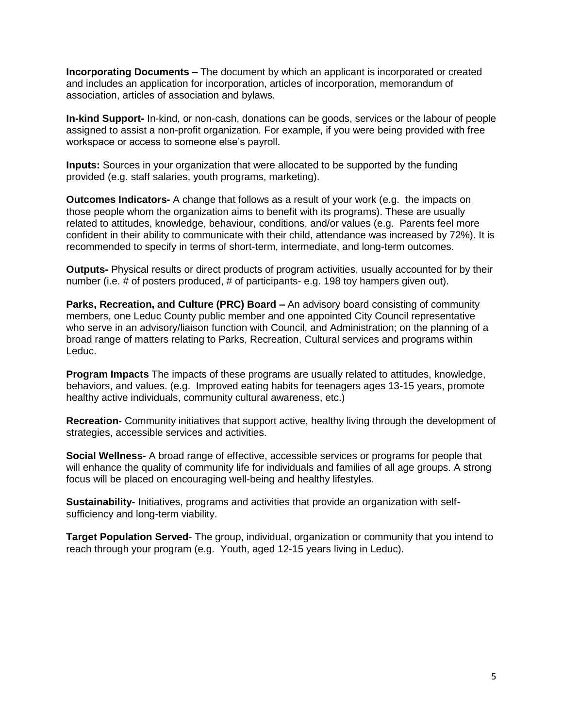**Incorporating Documents –** The document by which an applicant is incorporated or created and includes an application for incorporation, articles of incorporation, memorandum of association, articles of association and bylaws.

**In-kind Support-** In-kind, or non-cash, donations can be goods, services or the labour of people assigned to assist a non-profit organization. For example, if you were being provided with free workspace or access to someone else's payroll.

**Inputs:** Sources in your organization that were allocated to be supported by the funding provided (e.g. staff salaries, youth programs, marketing).

**Outcomes Indicators-** A change that follows as a result of your work (e.g. the impacts on those people whom the organization aims to benefit with its programs). These are usually related to attitudes, knowledge, behaviour, conditions, and/or values (e.g. Parents feel more confident in their ability to communicate with their child, attendance was increased by 72%). It is recommended to specify in terms of short-term, intermediate, and long-term outcomes.

**Outputs-** Physical results or direct products of program activities, usually accounted for by their number (i.e. # of posters produced, # of participants- e.g. 198 toy hampers given out).

**Parks, Recreation, and Culture (PRC) Board –** An advisory board consisting of community members, one Leduc County public member and one appointed City Council representative who serve in an advisory/liaison function with Council, and Administration; on the planning of a broad range of matters relating to Parks, Recreation, Cultural services and programs within Leduc.

**Program Impacts** The impacts of these programs are usually related to attitudes, knowledge, behaviors, and values. (e.g. Improved eating habits for teenagers ages 13-15 years, promote healthy active individuals, community cultural awareness, etc.)

**Recreation-** Community initiatives that support active, healthy living through the development of strategies, accessible services and activities.

**Social Wellness-** A broad range of effective, accessible services or programs for people that will enhance the quality of community life for individuals and families of all age groups. A strong focus will be placed on encouraging well-being and healthy lifestyles.

**Sustainability-** Initiatives, programs and activities that provide an organization with selfsufficiency and long-term viability.

**Target Population Served-** The group, individual, organization or community that you intend to reach through your program (e.g. Youth, aged 12-15 years living in Leduc).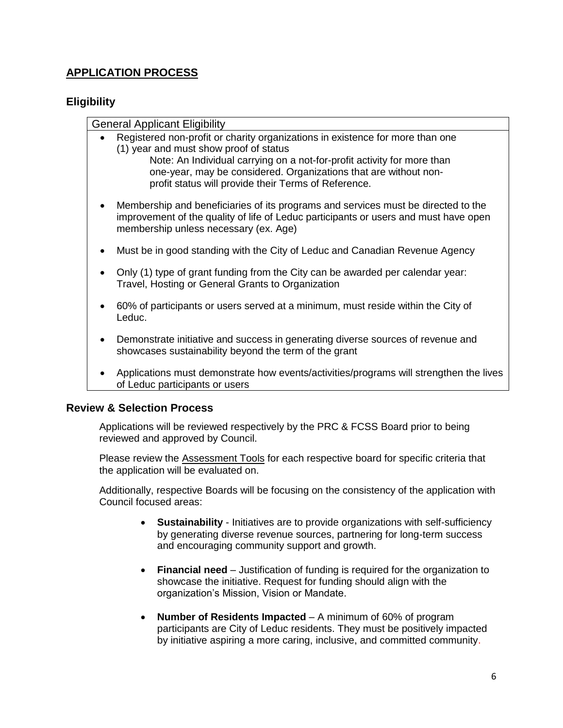# **APPLICATION PROCESS**

# **Eligibility**

| <b>General Applicant Eligibility</b>                                                                                                                                                                               |
|--------------------------------------------------------------------------------------------------------------------------------------------------------------------------------------------------------------------|
| Registered non-profit or charity organizations in existence for more than one                                                                                                                                      |
| (1) year and must show proof of status<br>Note: An Individual carrying on a not-for-profit activity for more than                                                                                                  |
| one-year, may be considered. Organizations that are without non-<br>profit status will provide their Terms of Reference.                                                                                           |
| Membership and beneficiaries of its programs and services must be directed to the<br>improvement of the quality of life of Leduc participants or users and must have open<br>membership unless necessary (ex. Age) |
| Must be in good standing with the City of Leduc and Canadian Revenue Agency                                                                                                                                        |
| Only (1) type of grant funding from the City can be awarded per calendar year:<br>Travel, Hosting or General Grants to Organization                                                                                |
| 60% of participants or users served at a minimum, must reside within the City of<br>Leduc.                                                                                                                         |
| Demonstrate initiative and success in generating diverse sources of revenue and<br>showcases sustainability beyond the term of the grant                                                                           |
|                                                                                                                                                                                                                    |

 Applications must demonstrate how events/activities/programs will strengthen the lives of Leduc participants or users

#### **Review & Selection Process**

Applications will be reviewed respectively by the PRC & FCSS Board prior to being reviewed and approved by Council.

Please review the **Assessment Tools** for each respective board for specific criteria that the application will be evaluated on.

Additionally, respective Boards will be focusing on the consistency of the application with Council focused areas:

- **Sustainability**  Initiatives are to provide organizations with self-sufficiency by generating diverse revenue sources, partnering for long-term success and encouraging community support and growth.
- **Financial need** Justification of funding is required for the organization to showcase the initiative. Request for funding should align with the organization's Mission, Vision or Mandate.
- **Number of Residents Impacted** A minimum of 60% of program participants are City of Leduc residents. They must be positively impacted by initiative aspiring a more caring, inclusive, and committed community.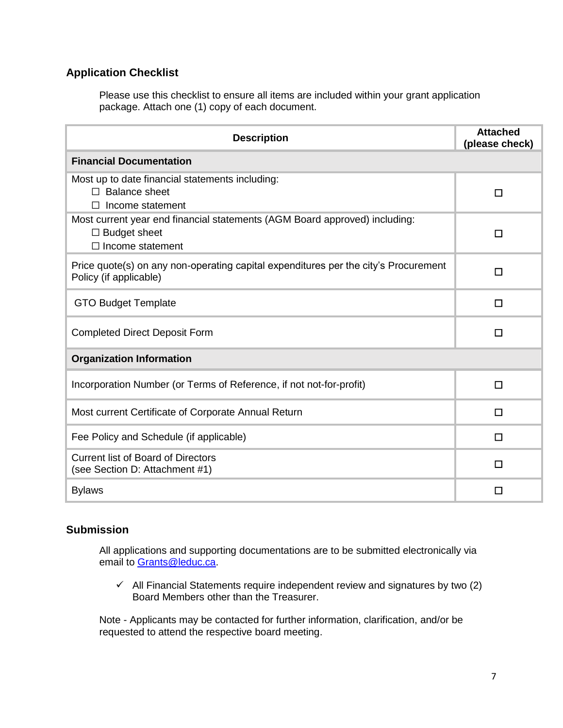# **Application Checklist**

Please use this checklist to ensure all items are included within your grant application package. Attach one (1) copy of each document.

| <b>Description</b>                                                                                                           | <b>Attached</b><br>(please check) |  |
|------------------------------------------------------------------------------------------------------------------------------|-----------------------------------|--|
| <b>Financial Documentation</b>                                                                                               |                                   |  |
| Most up to date financial statements including:<br>$\Box$ Balance sheet<br>Income statement                                  | $\Box$                            |  |
| Most current year end financial statements (AGM Board approved) including:<br>$\Box$ Budget sheet<br>$\Box$ Income statement | $\Box$                            |  |
| Price quote(s) on any non-operating capital expenditures per the city's Procurement<br>Policy (if applicable)                | □                                 |  |
| <b>GTO Budget Template</b>                                                                                                   | □                                 |  |
| <b>Completed Direct Deposit Form</b>                                                                                         | П                                 |  |
| <b>Organization Information</b>                                                                                              |                                   |  |
| Incorporation Number (or Terms of Reference, if not not-for-profit)                                                          | □                                 |  |
| Most current Certificate of Corporate Annual Return                                                                          | □                                 |  |
| Fee Policy and Schedule (if applicable)                                                                                      | П                                 |  |
| <b>Current list of Board of Directors</b><br>(see Section D: Attachment #1)                                                  | П                                 |  |
| <b>Bylaws</b>                                                                                                                | □                                 |  |

# **Submission**

All applications and supporting documentations are to be submitted electronically via email to [Grants@leduc.ca.](about:blank)

 $\checkmark$  All Financial Statements require independent review and signatures by two (2) Board Members other than the Treasurer.

Note - Applicants may be contacted for further information, clarification, and/or be requested to attend the respective board meeting.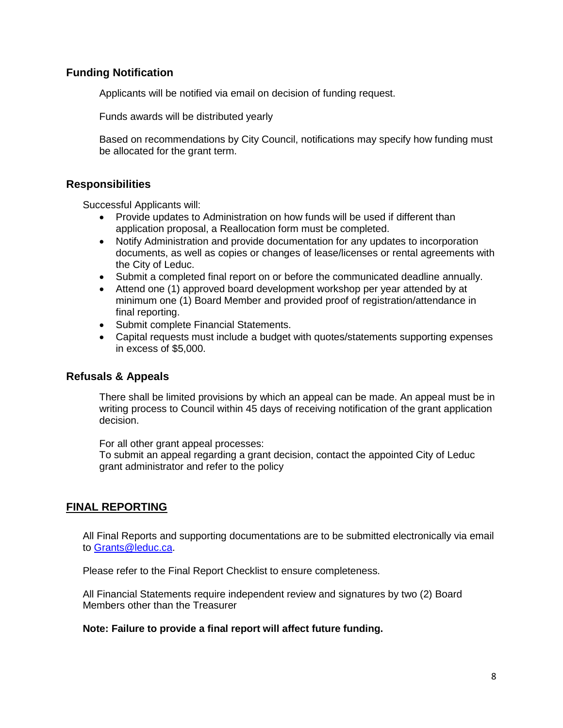#### **Funding Notification**

Applicants will be notified via email on decision of funding request.

Funds awards will be distributed yearly

Based on recommendations by City Council, notifications may specify how funding must be allocated for the grant term.

#### **Responsibilities**

Successful Applicants will:

- Provide updates to Administration on how funds will be used if different than application proposal, a Reallocation form must be completed.
- Notify Administration and provide documentation for any updates to incorporation documents, as well as copies or changes of lease/licenses or rental agreements with the City of Leduc.
- Submit a completed final report on or before the communicated deadline annually.
- Attend one (1) approved board development workshop per year attended by at minimum one (1) Board Member and provided proof of registration/attendance in final reporting.
- Submit complete Financial Statements.
- Capital requests must include a budget with quotes/statements supporting expenses in excess of \$5,000.

#### **Refusals & Appeals**

There shall be limited provisions by which an appeal can be made. An appeal must be in writing process to Council within 45 days of receiving notification of the grant application decision.

For all other grant appeal processes:

To submit an appeal regarding a grant decision, contact the appointed City of Leduc grant administrator and refer to the policy

# **FINAL REPORTING**

All Final Reports and supporting documentations are to be submitted electronically via email to [Grants@leduc.ca.](about:blank)

Please refer to the Final Report Checklist to ensure completeness.

All Financial Statements require independent review and signatures by two (2) Board Members other than the Treasurer

#### **Note: Failure to provide a final report will affect future funding.**